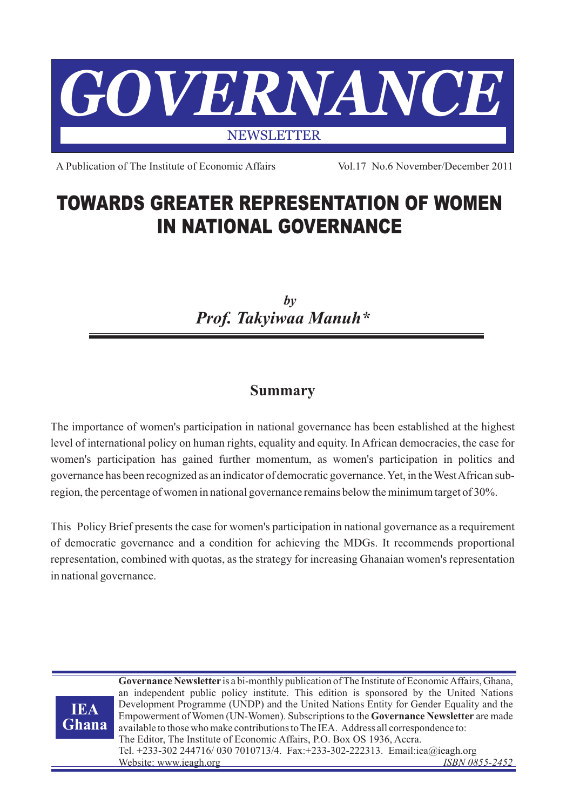

A Publication of The Institute of Economic Affairs Vol.17 No.6 November/December 2011

# **TOWARDS GREATER REPRESENTATION OF WOMEN IN NATIONAL GOVERNANCE**

*by Prof. Takyiwaa Manuh\**

## **Summary**

The importance of women's participation in national governance has been established at the highest level of international policy on human rights, equality and equity. In African democracies, the case for women's participation has gained further momentum, as women's participation in politics and governance has been recognized as an indicator of democratic governance. Yet, in the West African subregion, the percentage of women in national governance remains below the minimum target of 30%.

This Policy Brief presents the case for women's participation in national governance as a requirement of democratic governance and a condition for achieving the MDGs. It recommends proportional representation, combined with quotas, as the strategy for increasing Ghanaian women's representation in national governance.



**Governance Newsletter** is a bi-monthly publication of The Institute of Economic Affairs, Ghana, an independent public policy institute. This edition is sponsored by the United Nations Development Programme (UNDP) and the United Nations Entity for Gender Equality and the Empowerment of Women (UN-Women). Subscriptions to the **Governance Newsletter** are made available to those who make contributions to The IEA. Address all correspondence to: The Editor, The Institute of Economic Affairs, P.O. Box OS 1936, Accra. Tel. +233-302 244716/ 030 7010713/4. Fax:+233-302-222313. Email:iea@ieagh.org **Website: www.ieagh.org**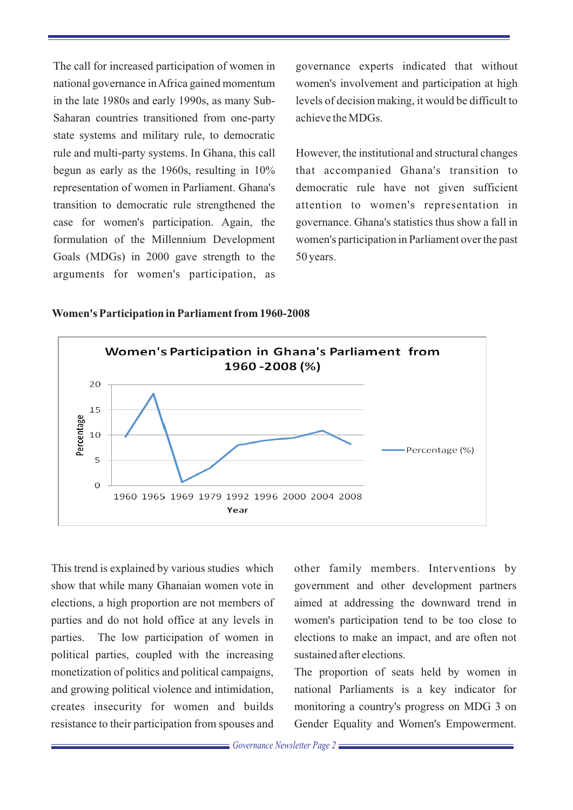The call for increased participation of women in governance experts indicated that without Saharan countries transitioned from one-party achieve the MDGs. state systems and military rule, to democratic rule and multi-party systems. In Ghana, this call However, the institutional and structural changes begun as early as the 1960s, resulting in 10% that accompanied Ghana's transition to representation of women in Parliament. Ghana's democratic rule have not given sufficient case for women's participation. Again, the governance. Ghana's statistics thus show a fall in Goals (MDGs) in 2000 gave strength to the 50 years. arguments for women's participation, as

national governance in Africa gained momentum women's involvement and participation at high in the late 1980s and early 1990s, as many Sub- levels of decision making, it would be difficult to

transition to democratic rule strengthened the attention to women's representation in formulation of the Millennium Development women's participation in Parliament over the past



#### **Women's Participation in Parliament from 1960-2008**

show that while many Ghanaian women vote in government and other development partners elections, a high proportion are not members of aimed at addressing the downward trend in parties and do not hold office at any levels in women's participation tend to be too close to parties. The low participation of women in elections to make an impact, and are often not political parties, coupled with the increasing sustained after elections. monetization of politics and political campaigns, The proportion of seats held by women in and growing political violence and intimidation, national Parliaments is a key indicator for creates insecurity for women and builds monitoring a country's progress on MDG 3 on resistance to their participation from spouses and Gender Equality and Women's Empowerment.

This trend is explained by various studies which other family members. Interventions by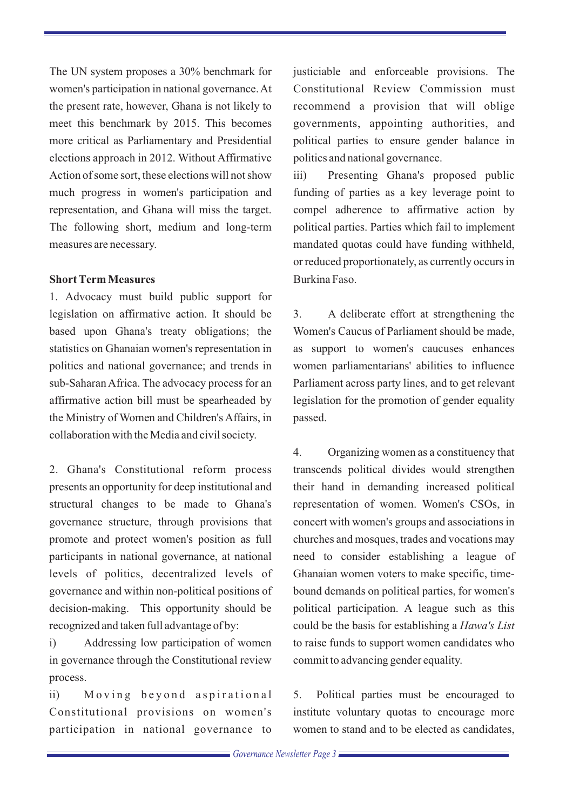The UN system proposes a 30% benchmark for justiciable and enforceable provisions. The women's participation in national governance. At Constitutional Review Commission must the present rate, however, Ghana is not likely to recommend a provision that will oblige meet this benchmark by 2015. This becomes governments, appointing authorities, and more critical as Parliamentary and Presidential political parties to ensure gender balance in elections approach in 2012. Without Affirmative politics and national governance. Action of some sort, these elections will not show iii) Presenting Ghana's proposed public much progress in women's participation and funding of parties as a key leverage point to representation, and Ghana will miss the target. compel adherence to affirmative action by The following short, medium and long-term political parties. Parties which fail to implement measures are necessary. mandated quotas could have funding withheld,

#### **Short Term Measures** Burkina Faso

1. Advocacy must build public support for legislation on affirmative action. It should be 3. A deliberate effort at strengthening the based upon Ghana's treaty obligations; the Women's Caucus of Parliament should be made, statistics on Ghanaian women's representation in as support to women's caucuses enhances politics and national governance; and trends in women parliamentarians' abilities to influence sub-Saharan Africa. The advocacy process for an Parliament across party lines, and to get relevant affirmative action bill must be spearheaded by legislation for the promotion of gender equality the Ministry of Women and Children's Affairs, in passed. collaboration with the Media and civil society.

2. Ghana's Constitutional reform process transcends political divides would strengthen presents an opportunity for deep institutional and their hand in demanding increased political structural changes to be made to Ghana's representation of women. Women's CSOs, in governance structure, through provisions that concert with women's groups and associations in promote and protect women's position as full churches and mosques, trades and vocations may participants in national governance, at national need to consider establishing a league of levels of politics, decentralized levels of Ghanaian women voters to make specific, timegovernance and within non-political positions of bound demands on political parties, for women's decision-making. This opportunity should be political participation. A league such as this recognized and taken full advantage of by: could be the basis for establishing a *Hawa's List*

in governance through the Constitutional review commit to advancing gender equality. process.

ii) Moving beyond aspirational 5. Political parties must be encouraged to Constitutional provisions on women's institute voluntary quotas to encourage more participation in national governance to women to stand and to be elected as candidates,

or reduced proportionately, as currently occurs in

4. Organizing women as a constituency that i) Addressing low participation of women to raise funds to support women candidates who